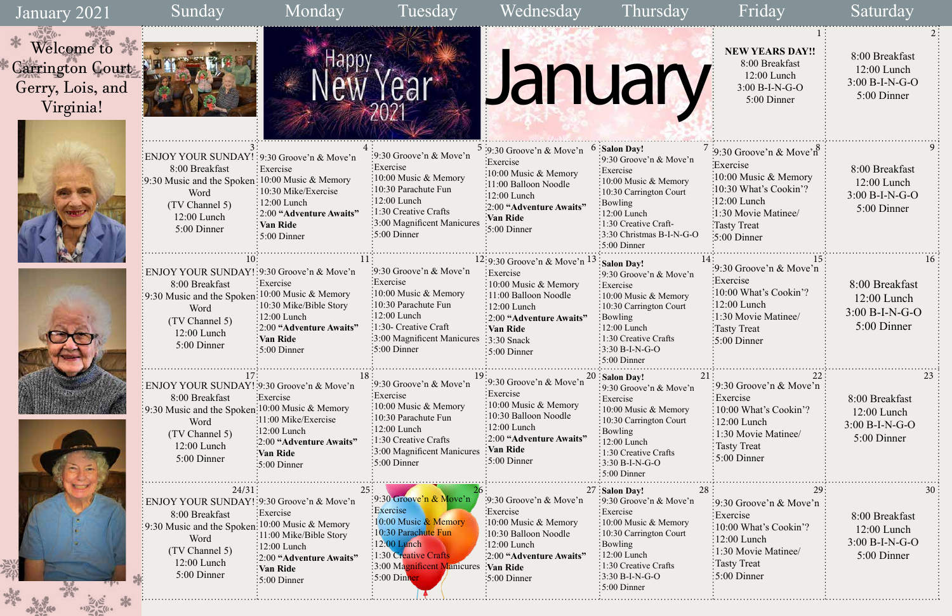## January 2021



| Sunday                                                                                                                                                                            | Monday                                                                                                                               | Tuesday                                                                                                                                                                                                           | Wednesday                                                                                                                                                                                                                                  | Thursday                                                                                                                                                                                                                                                                        | Friday                                                                                                                                                                                                      | Saturday                                                                 |
|-----------------------------------------------------------------------------------------------------------------------------------------------------------------------------------|--------------------------------------------------------------------------------------------------------------------------------------|-------------------------------------------------------------------------------------------------------------------------------------------------------------------------------------------------------------------|--------------------------------------------------------------------------------------------------------------------------------------------------------------------------------------------------------------------------------------------|---------------------------------------------------------------------------------------------------------------------------------------------------------------------------------------------------------------------------------------------------------------------------------|-------------------------------------------------------------------------------------------------------------------------------------------------------------------------------------------------------------|--------------------------------------------------------------------------|
|                                                                                                                                                                                   |                                                                                                                                      |                                                                                                                                                                                                                   |                                                                                                                                                                                                                                            | January                                                                                                                                                                                                                                                                         | <b>NEW YEARS DAY!!</b><br>8:00 Breakfast<br>12:00 Lunch<br>$3:00 B-I-N-G-O$<br>5:00 Dinner                                                                                                                  | 8:00 Breakfast<br>$12:00$ Lunch<br>3:00 B-I-N-G-O<br>5:00 Dinner         |
| ENJOY YOUR SUNDAY! : 9:30 Groove'n & Move'n<br>8:00 Breakfast<br>:9:30 Music and the Spoken: 10:00 Music & Memory<br>Word<br>(TV Channel 5)<br>12:00 Lunch<br>5:00 Dinner         | Exercise<br>: 10:30 Mike/Exercise<br>$\frac{1}{2}12:00$ Lunch<br>: 2:00 "Adventure Awaits"<br>Van Ride<br>$\frac{1}{2}$ 5:00 Dinner  | :9:30 Groove'n $& \text{Move'}n$<br>Exercise<br>$\frac{1}{2}10:00$ Music & Memory<br>$\frac{1}{2}10:30$ Parachute Fun<br>$:12:00$ Lunch<br>:1:30 Creative Crafts<br>:3:00 Magnificent Manicures<br>$:5:00$ Dinner | $5\frac{1}{2}$ :30 Groove'n & Move'n<br>:Exercise<br>:10:00 Music & Memory<br>:11:00 Balloon Noodle<br>$:12:00$ Lunch<br>:2:00 "Adventure Awaits"<br>Van Ride<br>$:5:00$ Dinner                                                            | $6:$ Salon Day!<br>:9:30 Groove'n $&$ Move'n<br>: Exercise<br>$\frac{1}{2}10:00$ Music & Memory<br>:10:30 Carrington Court<br>$\frac{1}{2}$ Bowling<br>$:12:00$ Lunch<br>:1:30 Creative Craft-<br>:3:30 Christmas B-I-N-G-O<br>:5:00 Dinner                                     | $\frac{1}{2}$ :30 Groove'n & Move'n<br>Exercise<br>$\frac{10:00 \text{ Music } \& \text{Memory}}$<br>$:10:30$ What's Cookin'?<br>:12:00 Lunch<br>:1:30 Movie Matinee/<br>Tasty Treat<br>$\cdot 5:00$ Dinner | 8:00 Breakfast<br>12:00 Lunch<br>3:00 B-I-N-G-O<br>5:00 Dinner           |
| 10:<br>: ENJOY YOUR SUNDAY!: 9:30 Groove'n & Move'n<br>8:00 Breakfast<br>:9:30 Music and the Spoken: 10:00 Music & Memory<br>Word<br>(TV Channel 5)<br>12:00 Lunch<br>5:00 Dinner | Exercise<br>:10:30 Mike/Bible Story<br>$:12:00$ Lunch<br>:2:00 "Adventure Awaits"<br>Van Ride<br>$:5:00$ Dinner                      | :9:30 Groove'n & Move'n<br>Exercise<br>$\frac{1}{2}10:00$ Music & Memory<br>$:10:30$ Parachute Fun<br>$:12:00$ Lunch<br>$\frac{1}{2}$ 1:30- Creative Craft<br>:3:00 Magnificent Manicures<br>:5:00 Dinner         | 12:9:30 Groove'n & Move'n $^{13}$ : Salon Day!<br>: Exercise<br>:10:00 Music & Memory<br>:11:00 Balloon Noodle<br>$\frac{1}{2}$ :00 Lunch<br>:2:00 "Adventure Awaits"<br>Van Ride<br>$\frac{1}{2}$ :30 Snack<br>$\frac{1}{2}$ :5:00 Dinner | 14:<br>:9:30 Groove'n $& \text{Move'}n$<br>: Exercise<br>:10:00 Music & Memory<br>:10:30 Carrington Court<br>$\frac{1}{2}$ Bowling<br>$\frac{1}{2}12:00$ Lunch<br>$: 1:30$ Creative Crafts<br>$:3:30 B-I-N-G-O$<br>:5:00 Dinner                                                 | 15:<br>:9:30 Groove'n $\&$ Move'n<br>Exercise:<br>:10:00 What's Cookin'?<br>$\frac{12:00}{2}$ Lunch<br>1:30 Movie Matinee/<br>Tasty Treat<br>$\frac{1}{2}$ 5:00 Dinner                                      | 16<br>8:00 Breakfast<br>$12:00$ Lunch<br>$3:00 B-I-N-G-O$<br>5:00 Dinner |
| 17:<br>ENJOY YOUR SUNDAY! : 9:30 Groove'n & Move'n<br>8:00 Breakfast<br>:9:30 Music and the Spoken:10:00 Music & Memory<br>Word<br>(TV Channel 5)<br>12:00 Lunch<br>5:00 Dinner   | 18:<br>:Exercise<br>$\cdot$ 11:00 Mike/Exercise<br>$:12:00$ Lunch<br>2:00 "Adventure Awaits"<br>Van Ride<br>$\frac{1}{2}$ :00 Dinner | :9:30 Groove'n & Move'n<br>Exercise<br>:10:00 Music & Memory<br>:10:30 Parachute Fun<br>$\frac{1}{2}12:00$ Lunch<br>$\frac{1}{2}$ :30 Creative Crafts<br>:3:00 Magnificent Manicures<br>$\frac{1}{2}$ :00 Dinner  | :9:30 Groove'n & Move'n<br>Exercise<br>$\therefore$ 10:00 Music & Memory<br>:10:30 Balloon Noodle<br>$\frac{1}{2}12:00$ Lunch<br>:2:00 "Adventure Awaits"<br>:Van Ride<br>$\frac{1}{2}$ 5:00 Dinner                                        | 21:<br>20 : Salon Day!<br>$\frac{1}{2}9:30$ Groove'n & Move'n<br>Exercise<br>$\frac{1}{2}10:00$ Music & Memory<br>$: 10:30$ Carrington Court<br>: Bowling<br>$: 12:00$ Lunch<br>$\frac{1}{2}$ 1:30 Creative Crafts<br>$\frac{1}{2}$ 3:30 B-I-N-G-O<br>$\frac{1}{2}$ 5:00 Dinner | 22:<br>$\frac{1}{2}9.30$ Groove'n & Move'n<br>Exercise<br>$\frac{1}{2}10:00$ What's Cookin'?<br>$\frac{12:00}{2}$ Lunch<br>1:30 Movie Matinee/<br>Tasty Treat<br>$:5:00$ Dinner                             | 23<br>8:00 Breakfast<br>12:00 Lunch<br>$3:00 B-I-N-G-O$<br>5:00 Dinner   |
| 24/31<br>ENJOY YOUR SUNDAY!:9:30 Groove'n & Move'n:<br>8:00 Breakfast<br>:9:30 Music and the Spoken: 10:00 Music & Memory<br>Word<br>(TV Channel 5)<br>12:00 Lunch<br>5:00 Dinner | Exercise<br>:11:00 Mike/Bible Story<br>:12:00 Lunch<br>:2:00 "Adventure Awaits"<br>Van Ride<br>$:5:00$ Dinner                        | :9:30 Groove'n $&$ Move'n<br>Exercise<br>:10:00 Music $&$ Memory<br>:10:30 Parachute Fun<br>:12:00 Lunch<br>$\frac{1}{2}$ 1:30 Creative Crafts<br>:3:00 Magnificent Manicures<br>$\frac{1}{2}5:00$ Dinner         | :9:30 Groove'n $\&$ Move'n<br>Exercise<br>:10:00 Music $&$ Memory<br>:10:30 Balloon Noodle<br>$\frac{1}{2}$ :00 Lunch<br>:2:00 "Adventure Awaits"<br>:Van Ride<br>$\cdot 5:00$ Dinner                                                      | 27 Salon Day!<br>28<br>:9:30 Groove'n $& \text{Move'}n$<br>: Exercise<br>:10:00 Music & Memory<br>:10:30 Carrington Court<br>$\frac{1}{2}$ Bowling<br>$\frac{1}{2}12:00$ Lunch<br>$\frac{1}{2}$ 1:30 Creative Crafts<br>$:3:30 B-I-N-G-O$<br>$:5:00$ Dinner                     | $\frac{1}{2}9.30$ Groove'n & Move'n<br>:Exercise<br>$\frac{10:00 \text{ What's Cookin?}}{2}$<br>:12:00 Lunch<br>:1:30 Movie Matinee/<br>Tasty Treat<br>$\frac{1}{2}$ 5:00 Dinner                            | 30<br>8:00 Breakfast<br>12:00 Lunch<br>$3:00 B-I-N-G-O$<br>5:00 Dinner   |

### 9:30 Groove'n & Move'n Exercise 10:00 Music & Memory 10:30 Parachute Fun 12:00 Lunch 1:30 Creative Crafts 3:00 Magnificent Manicures 5:00 Dinner 9:30 Groove'n & Move'n Exercise 10:00 Music & Memory 11:00 Balloon Noodle 12:00 Lunch **Van Ride** 5:00 Dinner



Welcome to Carrington Court Gerry, Lois, and Virginia!